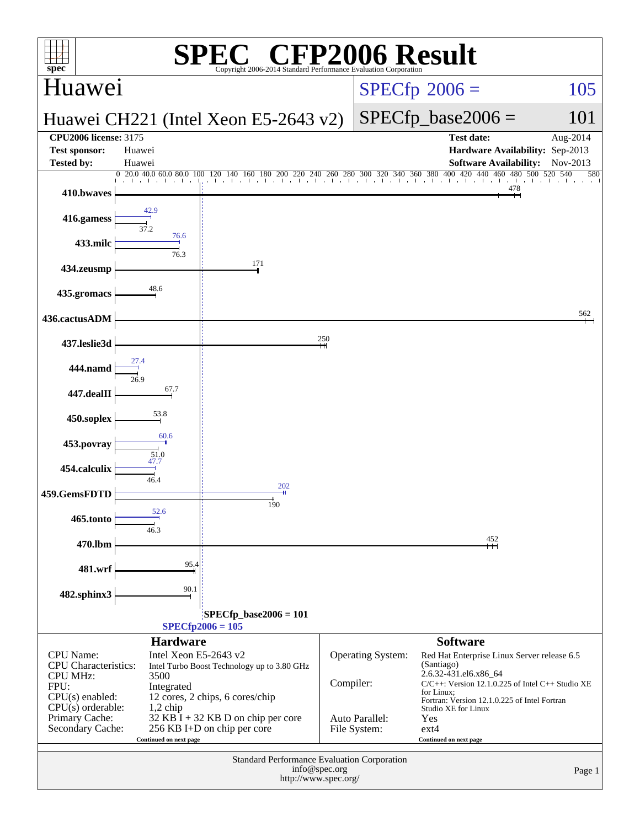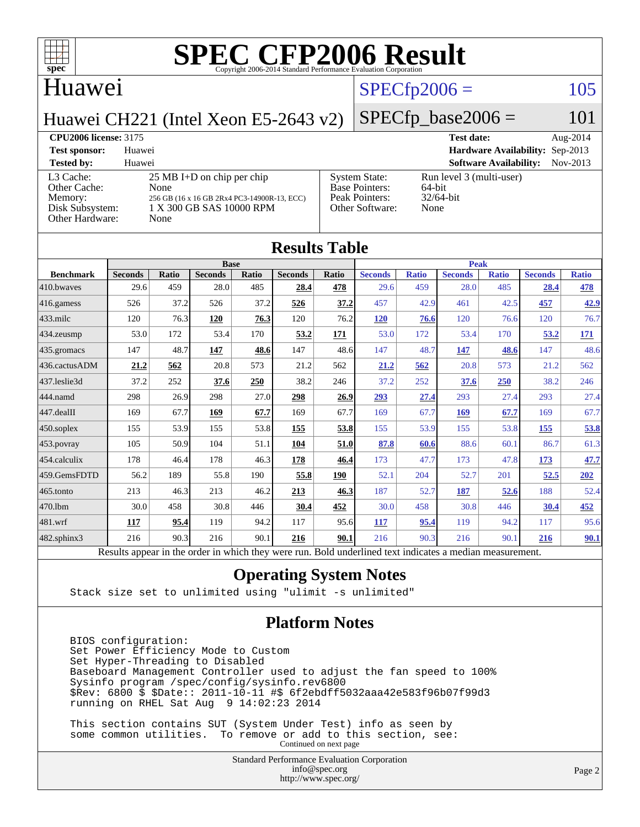

#### Huawei

## $SPECfp2006 = 105$  $SPECfp2006 = 105$

 $SPECfp\_base2006 = 101$ 

Huawei CH221 (Intel Xeon E5-2643 v2)

**[CPU2006 license:](http://www.spec.org/auto/cpu2006/Docs/result-fields.html#CPU2006license)** 3175 **[Test date:](http://www.spec.org/auto/cpu2006/Docs/result-fields.html#Testdate)** Aug-2014 **[Test sponsor:](http://www.spec.org/auto/cpu2006/Docs/result-fields.html#Testsponsor)** Huawei **[Hardware Availability:](http://www.spec.org/auto/cpu2006/Docs/result-fields.html#HardwareAvailability)** Sep-2013 **[Tested by:](http://www.spec.org/auto/cpu2006/Docs/result-fields.html#Testedby)** Huawei **[Software Availability:](http://www.spec.org/auto/cpu2006/Docs/result-fields.html#SoftwareAvailability)** Nov-2013 [L3 Cache:](http://www.spec.org/auto/cpu2006/Docs/result-fields.html#L3Cache) 25 MB I+D on chip per chip<br>Other Cache: None [Other Cache:](http://www.spec.org/auto/cpu2006/Docs/result-fields.html#OtherCache) [Memory:](http://www.spec.org/auto/cpu2006/Docs/result-fields.html#Memory) 256 GB (16 x 16 GB 2Rx4 PC3-14900R-13, ECC) [Disk Subsystem:](http://www.spec.org/auto/cpu2006/Docs/result-fields.html#DiskSubsystem) 1 X 300 GB SAS 10000 RPM [Other Hardware:](http://www.spec.org/auto/cpu2006/Docs/result-fields.html#OtherHardware) None [System State:](http://www.spec.org/auto/cpu2006/Docs/result-fields.html#SystemState) Run level 3 (multi-user)<br>Base Pointers: 64-bit [Base Pointers:](http://www.spec.org/auto/cpu2006/Docs/result-fields.html#BasePointers) [Peak Pointers:](http://www.spec.org/auto/cpu2006/Docs/result-fields.html#PeakPointers) 32/64-bit [Other Software:](http://www.spec.org/auto/cpu2006/Docs/result-fields.html#OtherSoftware) None

| <b>Results Table</b>   |                                                                                                          |              |                |       |                |       |                |              |                |              |                |              |
|------------------------|----------------------------------------------------------------------------------------------------------|--------------|----------------|-------|----------------|-------|----------------|--------------|----------------|--------------|----------------|--------------|
|                        | <b>Base</b>                                                                                              |              |                |       |                |       | <b>Peak</b>    |              |                |              |                |              |
| <b>Benchmark</b>       | <b>Seconds</b>                                                                                           | <b>Ratio</b> | <b>Seconds</b> | Ratio | <b>Seconds</b> | Ratio | <b>Seconds</b> | <b>Ratio</b> | <b>Seconds</b> | <b>Ratio</b> | <b>Seconds</b> | <b>Ratio</b> |
| 410.bwayes             | 29.6                                                                                                     | 459          | 28.0           | 485   | 28.4           | 478   | 29.6           | 459          | 28.0           | 485          | 28.4           | 478          |
| $416$ .gamess          | 526                                                                                                      | 37.2         | 526            | 37.2  | 526            | 37.2  | 457            | 42.9         | 461            | 42.5         | 457            | 42.9         |
| $433$ .milc            | 120                                                                                                      | 76.3         | 120            | 76.3  | 120            | 76.2  | <b>120</b>     | 76.6         | 120            | 76.6         | 120            | 76.7         |
| 434.zeusmp             | 53.0                                                                                                     | 172          | 53.4           | 170   | 53.2           | 171   | 53.0           | 172          | 53.4           | 170          | 53.2           | 171          |
| $435.$ gromacs         | 147                                                                                                      | 48.7         | 147            | 48.6  | 147            | 48.6  | 147            | 48.7         | 147            | 48.6         | 147            | 48.6         |
| 436.cactusADM          | 21.2                                                                                                     | 562          | 20.8           | 573   | 21.2           | 562   | 21.2           | 562          | 20.8           | 573          | 21.2           | 562          |
| 437.leslie3d           | 37.2                                                                                                     | 252          | 37.6           | 250   | 38.2           | 246   | 37.2           | 252          | 37.6           | <b>250</b>   | 38.2           | 246          |
| 444.namd               | 298                                                                                                      | 26.9         | 298            | 27.0  | 298            | 26.9  | 293            | 27.4         | 293            | 27.4         | 293            | 27.4         |
| $ 447 \text{.}$ dealII | 169                                                                                                      | 67.7         | 169            | 67.7  | 169            | 67.7  | 169            | 67.7         | 169            | 67.7         | 169            | 67.7         |
| $450$ .soplex          | 155                                                                                                      | 53.9         | 155            | 53.8  | 155            | 53.8  | 155            | 53.9         | 155            | 53.8         | 155            | 53.8         |
| $453$ .povray          | 105                                                                                                      | 50.9         | 104            | 51.1  | 104            | 51.0  | 87.8           | 60.6         | 88.6           | 60.1         | 86.7           | 61.3         |
| $454$ .calculix        | 178                                                                                                      | 46.4         | 178            | 46.3  | 178            | 46.4  | 173            | 47.7         | 173            | 47.8         | 173            | 47.7         |
| 459.GemsFDTD           | 56.2                                                                                                     | 189          | 55.8           | 190   | 55.8           | 190   | 52.1           | 204          | 52.7           | 201          | 52.5           | 202          |
| $465$ .tonto           | 213                                                                                                      | 46.3         | 213            | 46.2  | 213            | 46.3  | 187            | 52.7         | 187            | 52.6         | 188            | 52.4         |
| 470.1bm                | 30.0                                                                                                     | 458          | 30.8           | 446   | 30.4           | 452   | 30.0           | 458          | 30.8           | 446          | 30.4           | 452          |
| $ 481$ .wrf            | 117                                                                                                      | 95.4         | 119            | 94.2  | 117            | 95.6  | 117            | 95.4         | 119            | 94.2         | 117            | 95.6         |
| $482$ .sphinx $3$      | 216                                                                                                      | 90.3         | 216            | 90.1  | 216            | 90.1  | 216            | 90.3         | 216            | 90.1         | 216            | 90.1         |
|                        | Results appear in the order in which they were run. Bold underlined text indicates a median measurement. |              |                |       |                |       |                |              |                |              |                |              |

#### **[Operating System Notes](http://www.spec.org/auto/cpu2006/Docs/result-fields.html#OperatingSystemNotes)**

Stack size set to unlimited using "ulimit -s unlimited"

#### **[Platform Notes](http://www.spec.org/auto/cpu2006/Docs/result-fields.html#PlatformNotes)**

 BIOS configuration: Set Power Efficiency Mode to Custom Set Hyper-Threading to Disabled Baseboard Management Controller used to adjust the fan speed to 100% Sysinfo program /spec/config/sysinfo.rev6800 \$Rev: 6800 \$ \$Date:: 2011-10-11 #\$ 6f2ebdff5032aaa42e583f96b07f99d3 running on RHEL Sat Aug 9 14:02:23 2014

 This section contains SUT (System Under Test) info as seen by some common utilities. To remove or add to this section, see: Continued on next page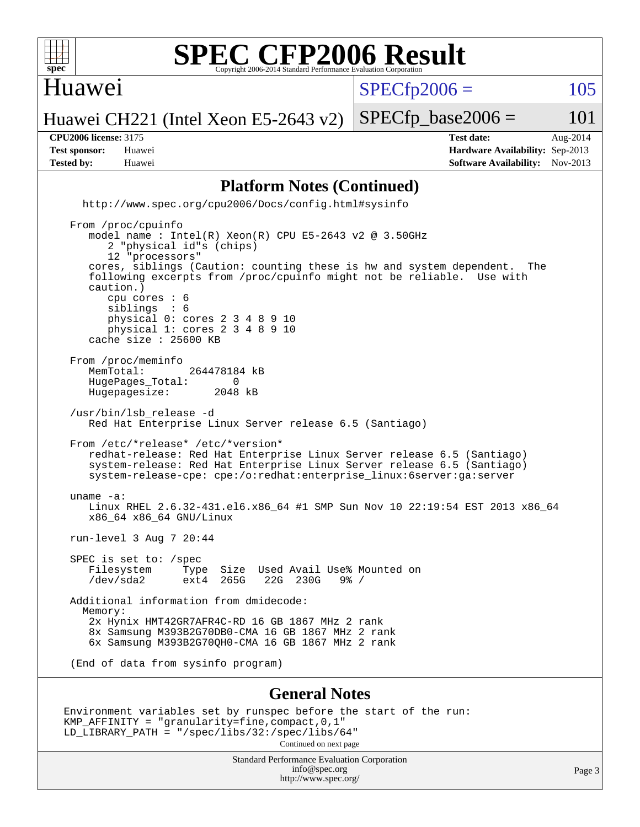

#### Huawei

 $SPECTp2006 = 105$ 

Huawei CH221 (Intel Xeon E5-2643 v2)  $SPECTp\_base2006 = 101$ 

**[Tested by:](http://www.spec.org/auto/cpu2006/Docs/result-fields.html#Testedby)** Huawei **[Software Availability:](http://www.spec.org/auto/cpu2006/Docs/result-fields.html#SoftwareAvailability)** Nov-2013

**[CPU2006 license:](http://www.spec.org/auto/cpu2006/Docs/result-fields.html#CPU2006license)** 3175 **[Test date:](http://www.spec.org/auto/cpu2006/Docs/result-fields.html#Testdate)** Aug-2014 **[Test sponsor:](http://www.spec.org/auto/cpu2006/Docs/result-fields.html#Testsponsor)** Huawei **[Hardware Availability:](http://www.spec.org/auto/cpu2006/Docs/result-fields.html#HardwareAvailability)** Sep-2013

#### **[Platform Notes \(Continued\)](http://www.spec.org/auto/cpu2006/Docs/result-fields.html#PlatformNotes)**

 <http://www.spec.org/cpu2006/Docs/config.html#sysinfo> From /proc/cpuinfo model name : Intel(R) Xeon(R) CPU E5-2643 v2 @ 3.50GHz 2 "physical id"s (chips) 12 "processors" cores, siblings (Caution: counting these is hw and system dependent. The following excerpts from /proc/cpuinfo might not be reliable. Use with caution.) cpu cores : 6<br>siblings : 6 siblings physical 0: cores 2 3 4 8 9 10 physical 1: cores 2 3 4 8 9 10 cache size : 25600 KB From /proc/meminfo<br>MemTotal:

264478184 kB HugePages\_Total: 0<br>Hugepagesize: 2048 kB Hugepagesize:

 /usr/bin/lsb\_release -d Red Hat Enterprise Linux Server release 6.5 (Santiago)

 From /etc/\*release\* /etc/\*version\* redhat-release: Red Hat Enterprise Linux Server release 6.5 (Santiago) system-release: Red Hat Enterprise Linux Server release 6.5 (Santiago) system-release-cpe: cpe:/o:redhat:enterprise\_linux:6server:ga:server

 uname -a: Linux RHEL 2.6.32-431.el6.x86\_64 #1 SMP Sun Nov 10 22:19:54 EST 2013 x86\_64 x86\_64 x86\_64 GNU/Linux

run-level 3 Aug 7 20:44

 SPEC is set to: /spec Filesystem Type Size Used-Avail-Use%-Mounted-on-<br>  $\sqrt{2}$  /dev/sda2 ext4 265G 22G 230G 9%-/ /dev/sda2 ext4 265G 22G 230G 9% /

 Additional information from dmidecode: Memory: 2x Hynix HMT42GR7AFR4C-RD 16 GB 1867 MHz 2 rank 8x Samsung M393B2G70DB0-CMA 16 GB 1867 MHz 2 rank 6x Samsung M393B2G70QH0-CMA 16 GB 1867 MHz 2 rank

(End of data from sysinfo program)

#### **[General Notes](http://www.spec.org/auto/cpu2006/Docs/result-fields.html#GeneralNotes)**

Environment variables set by runspec before the start of the run: KMP\_AFFINITY = "granularity=fine,compact,0,1" LD\_LIBRARY\_PATH = "/spec/libs/32:/spec/libs/64" Continued on next page

> Standard Performance Evaluation Corporation [info@spec.org](mailto:info@spec.org) <http://www.spec.org/>

Page 3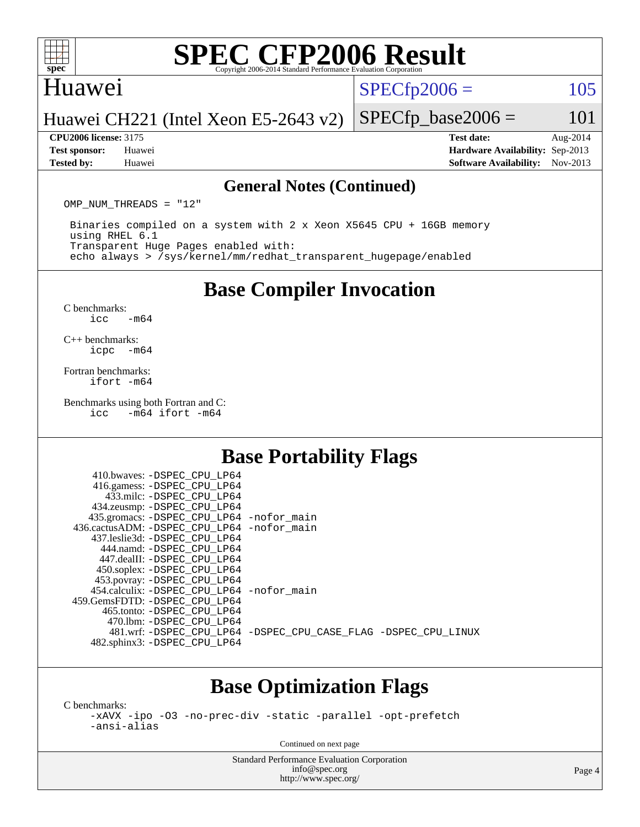

#### Huawei

 $SPECTp2006 = 105$ 

#### Huawei CH221 (Intel Xeon E5-2643 v2)

**[CPU2006 license:](http://www.spec.org/auto/cpu2006/Docs/result-fields.html#CPU2006license)** 3175 **[Test date:](http://www.spec.org/auto/cpu2006/Docs/result-fields.html#Testdate)** Aug-2014 **[Test sponsor:](http://www.spec.org/auto/cpu2006/Docs/result-fields.html#Testsponsor)** Huawei **[Hardware Availability:](http://www.spec.org/auto/cpu2006/Docs/result-fields.html#HardwareAvailability)** Sep-2013 **[Tested by:](http://www.spec.org/auto/cpu2006/Docs/result-fields.html#Testedby)** Huawei **[Software Availability:](http://www.spec.org/auto/cpu2006/Docs/result-fields.html#SoftwareAvailability)** Nov-2013

 $SPECTp\_base2006 = 101$ 

#### **[General Notes \(Continued\)](http://www.spec.org/auto/cpu2006/Docs/result-fields.html#GeneralNotes)**

OMP NUM THREADS = "12"

 Binaries compiled on a system with 2 x Xeon X5645 CPU + 16GB memory using RHEL 6.1 Transparent Huge Pages enabled with: echo always > /sys/kernel/mm/redhat\_transparent\_hugepage/enabled

**[Base Compiler Invocation](http://www.spec.org/auto/cpu2006/Docs/result-fields.html#BaseCompilerInvocation)**

[C benchmarks](http://www.spec.org/auto/cpu2006/Docs/result-fields.html#Cbenchmarks):  $\text{icc}$   $-\text{m64}$ 

[C++ benchmarks:](http://www.spec.org/auto/cpu2006/Docs/result-fields.html#CXXbenchmarks) [icpc -m64](http://www.spec.org/cpu2006/results/res2014q3/cpu2006-20140820-30971.flags.html#user_CXXbase_intel_icpc_64bit_bedb90c1146cab66620883ef4f41a67e)

[Fortran benchmarks](http://www.spec.org/auto/cpu2006/Docs/result-fields.html#Fortranbenchmarks): [ifort -m64](http://www.spec.org/cpu2006/results/res2014q3/cpu2006-20140820-30971.flags.html#user_FCbase_intel_ifort_64bit_ee9d0fb25645d0210d97eb0527dcc06e)

[Benchmarks using both Fortran and C](http://www.spec.org/auto/cpu2006/Docs/result-fields.html#BenchmarksusingbothFortranandC):<br>icc -m64 ifort -m64  $-m64$  ifort  $-m64$ 

### **[Base Portability Flags](http://www.spec.org/auto/cpu2006/Docs/result-fields.html#BasePortabilityFlags)**

|                                              | 410.bwaves: -DSPEC CPU LP64                 |  |                                                                |
|----------------------------------------------|---------------------------------------------|--|----------------------------------------------------------------|
|                                              | 416.gamess: -DSPEC_CPU_LP64                 |  |                                                                |
|                                              | 433.milc: -DSPEC CPU LP64                   |  |                                                                |
|                                              | 434.zeusmp: - DSPEC_CPU_LP64                |  |                                                                |
|                                              | 435.gromacs: -DSPEC_CPU_LP64 -nofor_main    |  |                                                                |
| 436.cactusADM: - DSPEC CPU LP64 - nofor main |                                             |  |                                                                |
|                                              | 437.leslie3d: -DSPEC CPU LP64               |  |                                                                |
|                                              | 444.namd: - DSPEC CPU LP64                  |  |                                                                |
|                                              | 447.dealII: -DSPEC CPU LP64                 |  |                                                                |
|                                              | 450.soplex: -DSPEC_CPU_LP64                 |  |                                                                |
|                                              | 453.povray: -DSPEC_CPU_LP64                 |  |                                                                |
|                                              | 454.calculix: - DSPEC CPU LP64 - nofor main |  |                                                                |
| 459. GemsFDTD: - DSPEC CPU LP64              |                                             |  |                                                                |
|                                              | 465.tonto: - DSPEC CPU LP64                 |  |                                                                |
|                                              | 470.1bm: - DSPEC CPU LP64                   |  |                                                                |
|                                              |                                             |  | 481.wrf: -DSPEC CPU_LP64 -DSPEC_CPU_CASE_FLAG -DSPEC_CPU_LINUX |
|                                              | 482.sphinx3: -DSPEC_CPU_LP64                |  |                                                                |
|                                              |                                             |  |                                                                |

#### **[Base Optimization Flags](http://www.spec.org/auto/cpu2006/Docs/result-fields.html#BaseOptimizationFlags)**

[C benchmarks](http://www.spec.org/auto/cpu2006/Docs/result-fields.html#Cbenchmarks):

[-xAVX](http://www.spec.org/cpu2006/results/res2014q3/cpu2006-20140820-30971.flags.html#user_CCbase_f-xAVX) [-ipo](http://www.spec.org/cpu2006/results/res2014q3/cpu2006-20140820-30971.flags.html#user_CCbase_f-ipo) [-O3](http://www.spec.org/cpu2006/results/res2014q3/cpu2006-20140820-30971.flags.html#user_CCbase_f-O3) [-no-prec-div](http://www.spec.org/cpu2006/results/res2014q3/cpu2006-20140820-30971.flags.html#user_CCbase_f-no-prec-div) [-static](http://www.spec.org/cpu2006/results/res2014q3/cpu2006-20140820-30971.flags.html#user_CCbase_f-static) [-parallel](http://www.spec.org/cpu2006/results/res2014q3/cpu2006-20140820-30971.flags.html#user_CCbase_f-parallel) [-opt-prefetch](http://www.spec.org/cpu2006/results/res2014q3/cpu2006-20140820-30971.flags.html#user_CCbase_f-opt-prefetch) [-ansi-alias](http://www.spec.org/cpu2006/results/res2014q3/cpu2006-20140820-30971.flags.html#user_CCbase_f-ansi-alias)

Continued on next page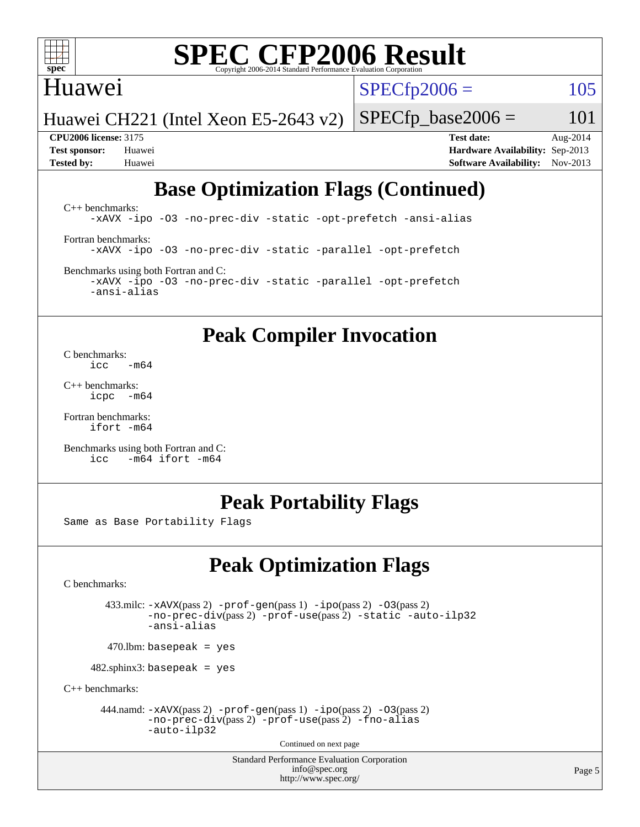

## Huawei

 $SPECTp2006 = 105$ 

Huawei CH221 (Intel Xeon E5-2643 v2)

**[CPU2006 license:](http://www.spec.org/auto/cpu2006/Docs/result-fields.html#CPU2006license)** 3175 **[Test date:](http://www.spec.org/auto/cpu2006/Docs/result-fields.html#Testdate)** Aug-2014 **[Test sponsor:](http://www.spec.org/auto/cpu2006/Docs/result-fields.html#Testsponsor)** Huawei **[Hardware Availability:](http://www.spec.org/auto/cpu2006/Docs/result-fields.html#HardwareAvailability)** Sep-2013 **[Tested by:](http://www.spec.org/auto/cpu2006/Docs/result-fields.html#Testedby)** Huawei **[Software Availability:](http://www.spec.org/auto/cpu2006/Docs/result-fields.html#SoftwareAvailability)** Nov-2013

 $SPECTp\_base2006 = 101$ 

## **[Base Optimization Flags \(Continued\)](http://www.spec.org/auto/cpu2006/Docs/result-fields.html#BaseOptimizationFlags)**

[C++ benchmarks:](http://www.spec.org/auto/cpu2006/Docs/result-fields.html#CXXbenchmarks) [-xAVX](http://www.spec.org/cpu2006/results/res2014q3/cpu2006-20140820-30971.flags.html#user_CXXbase_f-xAVX) [-ipo](http://www.spec.org/cpu2006/results/res2014q3/cpu2006-20140820-30971.flags.html#user_CXXbase_f-ipo) [-O3](http://www.spec.org/cpu2006/results/res2014q3/cpu2006-20140820-30971.flags.html#user_CXXbase_f-O3) [-no-prec-div](http://www.spec.org/cpu2006/results/res2014q3/cpu2006-20140820-30971.flags.html#user_CXXbase_f-no-prec-div) [-static](http://www.spec.org/cpu2006/results/res2014q3/cpu2006-20140820-30971.flags.html#user_CXXbase_f-static) [-opt-prefetch](http://www.spec.org/cpu2006/results/res2014q3/cpu2006-20140820-30971.flags.html#user_CXXbase_f-opt-prefetch) [-ansi-alias](http://www.spec.org/cpu2006/results/res2014q3/cpu2006-20140820-30971.flags.html#user_CXXbase_f-ansi-alias) [Fortran benchmarks](http://www.spec.org/auto/cpu2006/Docs/result-fields.html#Fortranbenchmarks): [-xAVX](http://www.spec.org/cpu2006/results/res2014q3/cpu2006-20140820-30971.flags.html#user_FCbase_f-xAVX) [-ipo](http://www.spec.org/cpu2006/results/res2014q3/cpu2006-20140820-30971.flags.html#user_FCbase_f-ipo) [-O3](http://www.spec.org/cpu2006/results/res2014q3/cpu2006-20140820-30971.flags.html#user_FCbase_f-O3) [-no-prec-div](http://www.spec.org/cpu2006/results/res2014q3/cpu2006-20140820-30971.flags.html#user_FCbase_f-no-prec-div) [-static](http://www.spec.org/cpu2006/results/res2014q3/cpu2006-20140820-30971.flags.html#user_FCbase_f-static) [-parallel](http://www.spec.org/cpu2006/results/res2014q3/cpu2006-20140820-30971.flags.html#user_FCbase_f-parallel) [-opt-prefetch](http://www.spec.org/cpu2006/results/res2014q3/cpu2006-20140820-30971.flags.html#user_FCbase_f-opt-prefetch) [Benchmarks using both Fortran and C](http://www.spec.org/auto/cpu2006/Docs/result-fields.html#BenchmarksusingbothFortranandC):

[-xAVX](http://www.spec.org/cpu2006/results/res2014q3/cpu2006-20140820-30971.flags.html#user_CC_FCbase_f-xAVX) [-ipo](http://www.spec.org/cpu2006/results/res2014q3/cpu2006-20140820-30971.flags.html#user_CC_FCbase_f-ipo) [-O3](http://www.spec.org/cpu2006/results/res2014q3/cpu2006-20140820-30971.flags.html#user_CC_FCbase_f-O3) [-no-prec-div](http://www.spec.org/cpu2006/results/res2014q3/cpu2006-20140820-30971.flags.html#user_CC_FCbase_f-no-prec-div) [-static](http://www.spec.org/cpu2006/results/res2014q3/cpu2006-20140820-30971.flags.html#user_CC_FCbase_f-static) [-parallel](http://www.spec.org/cpu2006/results/res2014q3/cpu2006-20140820-30971.flags.html#user_CC_FCbase_f-parallel) [-opt-prefetch](http://www.spec.org/cpu2006/results/res2014q3/cpu2006-20140820-30971.flags.html#user_CC_FCbase_f-opt-prefetch) [-ansi-alias](http://www.spec.org/cpu2006/results/res2014q3/cpu2006-20140820-30971.flags.html#user_CC_FCbase_f-ansi-alias)

## **[Peak Compiler Invocation](http://www.spec.org/auto/cpu2006/Docs/result-fields.html#PeakCompilerInvocation)**

[C benchmarks](http://www.spec.org/auto/cpu2006/Docs/result-fields.html#Cbenchmarks):  $\frac{1}{2}$ cc  $-\text{m64}$ 

[C++ benchmarks:](http://www.spec.org/auto/cpu2006/Docs/result-fields.html#CXXbenchmarks) [icpc -m64](http://www.spec.org/cpu2006/results/res2014q3/cpu2006-20140820-30971.flags.html#user_CXXpeak_intel_icpc_64bit_bedb90c1146cab66620883ef4f41a67e)

[Fortran benchmarks](http://www.spec.org/auto/cpu2006/Docs/result-fields.html#Fortranbenchmarks): [ifort -m64](http://www.spec.org/cpu2006/results/res2014q3/cpu2006-20140820-30971.flags.html#user_FCpeak_intel_ifort_64bit_ee9d0fb25645d0210d97eb0527dcc06e)

[Benchmarks using both Fortran and C](http://www.spec.org/auto/cpu2006/Docs/result-fields.html#BenchmarksusingbothFortranandC): [icc -m64](http://www.spec.org/cpu2006/results/res2014q3/cpu2006-20140820-30971.flags.html#user_CC_FCpeak_intel_icc_64bit_0b7121f5ab7cfabee23d88897260401c) [ifort -m64](http://www.spec.org/cpu2006/results/res2014q3/cpu2006-20140820-30971.flags.html#user_CC_FCpeak_intel_ifort_64bit_ee9d0fb25645d0210d97eb0527dcc06e)

## **[Peak Portability Flags](http://www.spec.org/auto/cpu2006/Docs/result-fields.html#PeakPortabilityFlags)**

Same as Base Portability Flags

## **[Peak Optimization Flags](http://www.spec.org/auto/cpu2006/Docs/result-fields.html#PeakOptimizationFlags)**

[C benchmarks](http://www.spec.org/auto/cpu2006/Docs/result-fields.html#Cbenchmarks):

 433.milc: [-xAVX](http://www.spec.org/cpu2006/results/res2014q3/cpu2006-20140820-30971.flags.html#user_peakPASS2_CFLAGSPASS2_LDFLAGS433_milc_f-xAVX)(pass 2) [-prof-gen](http://www.spec.org/cpu2006/results/res2014q3/cpu2006-20140820-30971.flags.html#user_peakPASS1_CFLAGSPASS1_LDFLAGS433_milc_prof_gen_e43856698f6ca7b7e442dfd80e94a8fc)(pass 1) [-ipo](http://www.spec.org/cpu2006/results/res2014q3/cpu2006-20140820-30971.flags.html#user_peakPASS2_CFLAGSPASS2_LDFLAGS433_milc_f-ipo)(pass 2) [-O3](http://www.spec.org/cpu2006/results/res2014q3/cpu2006-20140820-30971.flags.html#user_peakPASS2_CFLAGSPASS2_LDFLAGS433_milc_f-O3)(pass 2) [-no-prec-div](http://www.spec.org/cpu2006/results/res2014q3/cpu2006-20140820-30971.flags.html#user_peakPASS2_CFLAGSPASS2_LDFLAGS433_milc_f-no-prec-div)(pass 2) [-prof-use](http://www.spec.org/cpu2006/results/res2014q3/cpu2006-20140820-30971.flags.html#user_peakPASS2_CFLAGSPASS2_LDFLAGS433_milc_prof_use_bccf7792157ff70d64e32fe3e1250b55)(pass 2) [-static](http://www.spec.org/cpu2006/results/res2014q3/cpu2006-20140820-30971.flags.html#user_peakOPTIMIZE433_milc_f-static) [-auto-ilp32](http://www.spec.org/cpu2006/results/res2014q3/cpu2006-20140820-30971.flags.html#user_peakCOPTIMIZE433_milc_f-auto-ilp32) [-ansi-alias](http://www.spec.org/cpu2006/results/res2014q3/cpu2006-20140820-30971.flags.html#user_peakCOPTIMIZE433_milc_f-ansi-alias)

 $470.$ lbm: basepeak = yes

482.sphinx3: basepeak = yes

[C++ benchmarks:](http://www.spec.org/auto/cpu2006/Docs/result-fields.html#CXXbenchmarks)

444.namd:  $-xAVX(pass 2)$  $-xAVX(pass 2)$  [-prof-gen](http://www.spec.org/cpu2006/results/res2014q3/cpu2006-20140820-30971.flags.html#user_peakPASS1_CXXFLAGSPASS1_LDFLAGS444_namd_prof_gen_e43856698f6ca7b7e442dfd80e94a8fc)(pass 1) [-ipo](http://www.spec.org/cpu2006/results/res2014q3/cpu2006-20140820-30971.flags.html#user_peakPASS2_CXXFLAGSPASS2_LDFLAGS444_namd_f-ipo)(pass 2) [-O3](http://www.spec.org/cpu2006/results/res2014q3/cpu2006-20140820-30971.flags.html#user_peakPASS2_CXXFLAGSPASS2_LDFLAGS444_namd_f-O3)(pass 2) [-no-prec-div](http://www.spec.org/cpu2006/results/res2014q3/cpu2006-20140820-30971.flags.html#user_peakPASS2_CXXFLAGSPASS2_LDFLAGS444_namd_f-no-prec-div)(pass 2) [-prof-use](http://www.spec.org/cpu2006/results/res2014q3/cpu2006-20140820-30971.flags.html#user_peakPASS2_CXXFLAGSPASS2_LDFLAGS444_namd_prof_use_bccf7792157ff70d64e32fe3e1250b55)(pass 2) [-fno-alias](http://www.spec.org/cpu2006/results/res2014q3/cpu2006-20140820-30971.flags.html#user_peakCXXOPTIMIZEOPTIMIZE444_namd_f-no-alias_694e77f6c5a51e658e82ccff53a9e63a) [-auto-ilp32](http://www.spec.org/cpu2006/results/res2014q3/cpu2006-20140820-30971.flags.html#user_peakCXXOPTIMIZE444_namd_f-auto-ilp32)

Continued on next page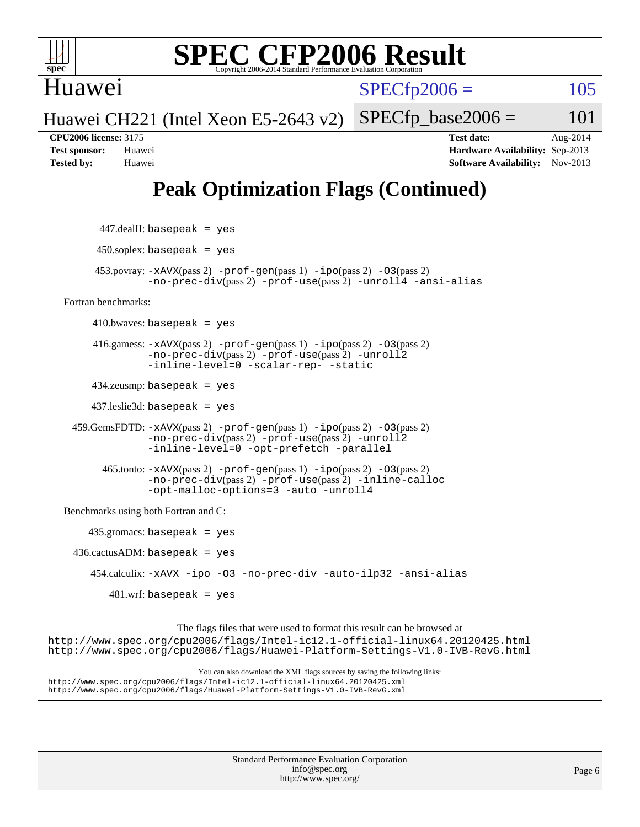

Huawei

 $SPECTp2006 = 105$ 

Huawei CH221 (Intel Xeon E5-2643 v2)

 $SPECTp\_base2006 = 101$ **[CPU2006 license:](http://www.spec.org/auto/cpu2006/Docs/result-fields.html#CPU2006license)** 3175 **[Test date:](http://www.spec.org/auto/cpu2006/Docs/result-fields.html#Testdate)** Aug-2014 **[Test sponsor:](http://www.spec.org/auto/cpu2006/Docs/result-fields.html#Testsponsor)** Huawei **[Hardware Availability:](http://www.spec.org/auto/cpu2006/Docs/result-fields.html#HardwareAvailability)** Sep-2013 **[Tested by:](http://www.spec.org/auto/cpu2006/Docs/result-fields.html#Testedby)** Huawei **[Software Availability:](http://www.spec.org/auto/cpu2006/Docs/result-fields.html#SoftwareAvailability)** Nov-2013

## **[Peak Optimization Flags \(Continued\)](http://www.spec.org/auto/cpu2006/Docs/result-fields.html#PeakOptimizationFlags)**

```
 447.dealII: basepeak = yes
         450.soplex: basepeak = yes
          453.povray: -xAVX(pass 2) -prof-gen(pass 1) -ipo(pass 2) -O3(pass 2)
                   -no-prec-div(pass 2) -prof-use(pass 2) -unroll4 -ansi-alias
   Fortran benchmarks: 
        410.bwaves: basepeak = yes 416.gamess: -xAVX(pass 2) -prof-gen(pass 1) -ipo(pass 2) -O3(pass 2)
                   -no-prec-div(pass 2) -prof-use(pass 2) -unroll2
                   -inline-level=0 -scalar-rep- -static
         434.zeusmp: basepeak = yes
         437.leslie3d: basepeak = yes
     459.GemsFDTD: -xAVX(pass 2) -prof-gen(pass 1) -ipo(pass 2) -O3(pass 2)
                   -no-prec-div(pass 2) -prof-use(pass 2) -unroll2
                   -inline-level=0 -opt-prefetch -parallel
           465.tonto: -xAVX(pass 2) -prof-gen(pass 1) -ipo(pass 2) -O3(pass 2)
                   -no-prec-div(pass 2) -prof-use(pass 2) -inline-calloc
                   -opt-malloc-options=3 -auto -unroll4
   Benchmarks using both Fortran and C: 
        435.gromacs: basepeak = yes
    436.cactusADM:basepeak = yes 454.calculix: -xAVX -ipo -O3 -no-prec-div -auto-ilp32 -ansi-alias
            481.wrf: basepeak = yes
                         The flags files that were used to format this result can be browsed at
http://www.spec.org/cpu2006/flags/Intel-ic12.1-official-linux64.20120425.html
http://www.spec.org/cpu2006/flags/Huawei-Platform-Settings-V1.0-IVB-RevG.html
                             You can also download the XML flags sources by saving the following links:
http://www.spec.org/cpu2006/flags/Intel-ic12.1-official-linux64.20120425.xml
http://www.spec.org/cpu2006/flags/Huawei-Platform-Settings-V1.0-IVB-RevG.xml
```